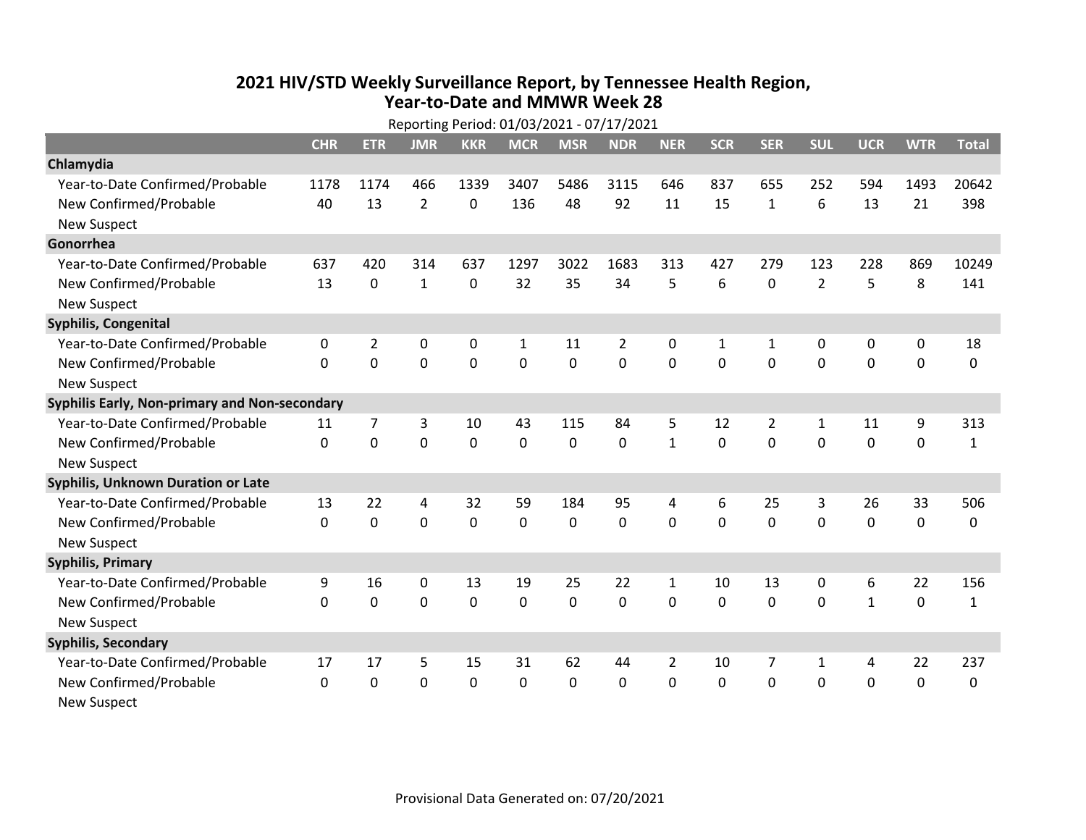## **2021 HIV/STD Weekly Surveillance Report, by Tennessee Health Region, Year-to-Date and MMWR Week 28**

|                                               | Reporting Period: 01/03/2021 - 07/17/2021 |                |                |                |             |              |                |              |              |                |                |                |             |              |
|-----------------------------------------------|-------------------------------------------|----------------|----------------|----------------|-------------|--------------|----------------|--------------|--------------|----------------|----------------|----------------|-------------|--------------|
|                                               | <b>CHR</b>                                | <b>ETR</b>     | <b>JMR</b>     | <b>KKR</b>     | <b>MCR</b>  | <b>MSR</b>   | <b>NDR</b>     | <b>NER</b>   | <b>SCR</b>   | <b>SER</b>     | <b>SUL</b>     | <b>UCR</b>     | <b>WTR</b>  | <b>Total</b> |
| Chlamydia                                     |                                           |                |                |                |             |              |                |              |              |                |                |                |             |              |
| Year-to-Date Confirmed/Probable               | 1178                                      | 1174           | 466            | 1339           | 3407        | 5486         | 3115           | 646          | 837          | 655            | 252            | 594            | 1493        | 20642        |
| New Confirmed/Probable                        | 40                                        | 13             | $\overline{2}$ | 0              | 136         | 48           | 92             | 11           | 15           | $\mathbf{1}$   | 6              | 13             | 21          | 398          |
| <b>New Suspect</b>                            |                                           |                |                |                |             |              |                |              |              |                |                |                |             |              |
| Gonorrhea                                     |                                           |                |                |                |             |              |                |              |              |                |                |                |             |              |
| Year-to-Date Confirmed/Probable               | 637                                       | 420            | 314            | 637            | 1297        | 3022         | 1683           | 313          | 427          | 279            | 123            | 228            | 869         | 10249        |
| New Confirmed/Probable                        | 13                                        | $\mathbf 0$    | $\mathbf{1}$   | 0              | 32          | 35           | 34             | 5            | 6            | $\mathbf 0$    | $\overline{2}$ | 5              | 8           | 141          |
| <b>New Suspect</b>                            |                                           |                |                |                |             |              |                |              |              |                |                |                |             |              |
| Syphilis, Congenital                          |                                           |                |                |                |             |              |                |              |              |                |                |                |             |              |
| Year-to-Date Confirmed/Probable               | 0                                         | $\overline{2}$ | 0              | 0              | 1           | 11           | $\overline{2}$ | 0            | $\mathbf{1}$ | 1              | 0              | 0              | 0           | 18           |
| New Confirmed/Probable                        | $\Omega$                                  | 0              | 0              | $\overline{0}$ | $\mathbf 0$ | $\mathbf 0$  | $\mathbf 0$    | $\Omega$     | $\Omega$     | $\Omega$       | $\mathbf 0$    | $\mathbf 0$    | $\mathbf 0$ | $\mathbf 0$  |
| <b>New Suspect</b>                            |                                           |                |                |                |             |              |                |              |              |                |                |                |             |              |
| Syphilis Early, Non-primary and Non-secondary |                                           |                |                |                |             |              |                |              |              |                |                |                |             |              |
| Year-to-Date Confirmed/Probable               | 11                                        | $\overline{7}$ | 3              | 10             | 43          | 115          | 84             | 5            | 12           | $\overline{2}$ | $\mathbf{1}$   | 11             | 9           | 313          |
| New Confirmed/Probable                        | 0                                         | 0              | 0              | 0              | 0           | $\mathbf 0$  | 0              | $\mathbf{1}$ | $\Omega$     | 0              | 0              | $\mathbf 0$    | 0           | $\mathbf{1}$ |
| <b>New Suspect</b>                            |                                           |                |                |                |             |              |                |              |              |                |                |                |             |              |
| <b>Syphilis, Unknown Duration or Late</b>     |                                           |                |                |                |             |              |                |              |              |                |                |                |             |              |
| Year-to-Date Confirmed/Probable               | 13                                        | 22             | 4              | 32             | 59          | 184          | 95             | 4            | 6            | 25             | 3              | 26             | 33          | 506          |
| New Confirmed/Probable                        | 0                                         | 0              | 0              | 0              | 0           | 0            | 0              | $\Omega$     | $\Omega$     | $\mathbf 0$    | 0              | 0              | 0           | 0            |
| <b>New Suspect</b>                            |                                           |                |                |                |             |              |                |              |              |                |                |                |             |              |
| <b>Syphilis, Primary</b>                      |                                           |                |                |                |             |              |                |              |              |                |                |                |             |              |
| Year-to-Date Confirmed/Probable               | 9                                         | 16             | 0              | 13             | 19          | 25           | 22             | $\mathbf{1}$ | 10           | 13             | 0              | 6              | 22          | 156          |
| New Confirmed/Probable                        | 0                                         | $\mathbf 0$    | $\mathbf 0$    | 0              | $\mathbf 0$ | $\mathbf 0$  | $\mathbf 0$    | 0            | 0            | $\mathbf 0$    | $\mathbf 0$    | $\mathbf{1}$   | $\pmb{0}$   | $\mathbf{1}$ |
| <b>New Suspect</b>                            |                                           |                |                |                |             |              |                |              |              |                |                |                |             |              |
| <b>Syphilis, Secondary</b>                    |                                           |                |                |                |             |              |                |              |              |                |                |                |             |              |
| Year-to-Date Confirmed/Probable               | 17                                        | 17             | 5              | 15             | 31          | 62           | 44             | 2            | 10           | 7              | $\mathbf{1}$   | 4              | 22          | 237          |
| New Confirmed/Probable                        | $\Omega$                                  | $\mathbf{0}$   | 0              | 0              | 0           | $\mathbf{0}$ | 0              | $\Omega$     | $\Omega$     | $\mathbf{0}$   | $\mathbf 0$    | $\overline{0}$ | 0           | 0            |
| <b>New Suspect</b>                            |                                           |                |                |                |             |              |                |              |              |                |                |                |             |              |